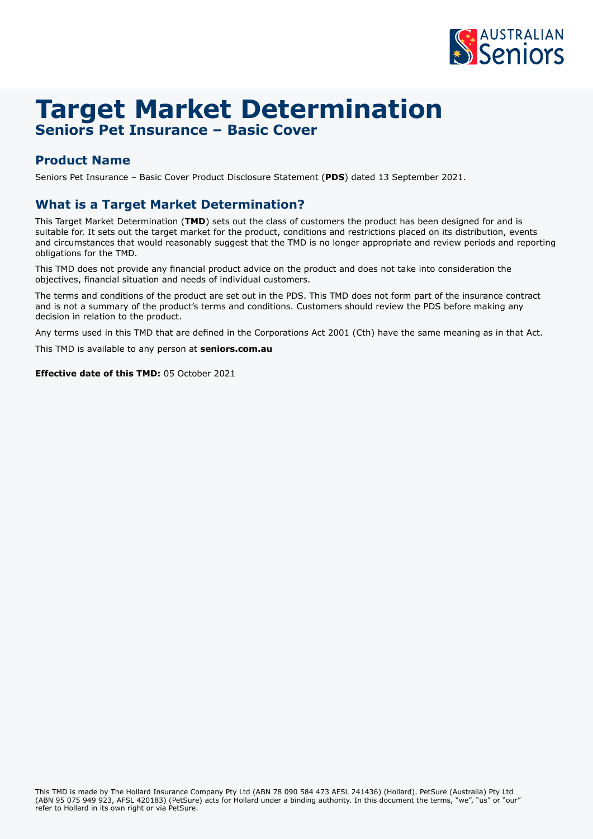

# **Target Market Determination Seniors Pet Insurance – Basic Cover**

### **Product Name**

Seniors Pet Insurance – Basic Cover Product Disclosure Statement (**PDS**) dated 13 September 2021.

### **What is a Target Market Determination?**

This Target Market Determination (**TMD**) sets out the class of customers the product has been designed for and is suitable for. It sets out the target market for the product, conditions and restrictions placed on its distribution, events and circumstances that would reasonably suggest that the TMD is no longer appropriate and review periods and reporting obligations for the TMD.

This TMD does not provide any financial product advice on the product and does not take into consideration the objectives, financial situation and needs of individual customers.

The terms and conditions of the product are set out in the PDS. This TMD does not form part of the insurance contract and is not a summary of the product's terms and conditions. Customers should review the PDS before making any decision in relation to the product.

Any terms used in this TMD that are defined in the Corporations Act 2001 (Cth) have the same meaning as in that Act.

This TMD is available to any person at **[seniors.com.au](http://seniors.com.au)**

**Effective date of this TMD:** 05 October 2021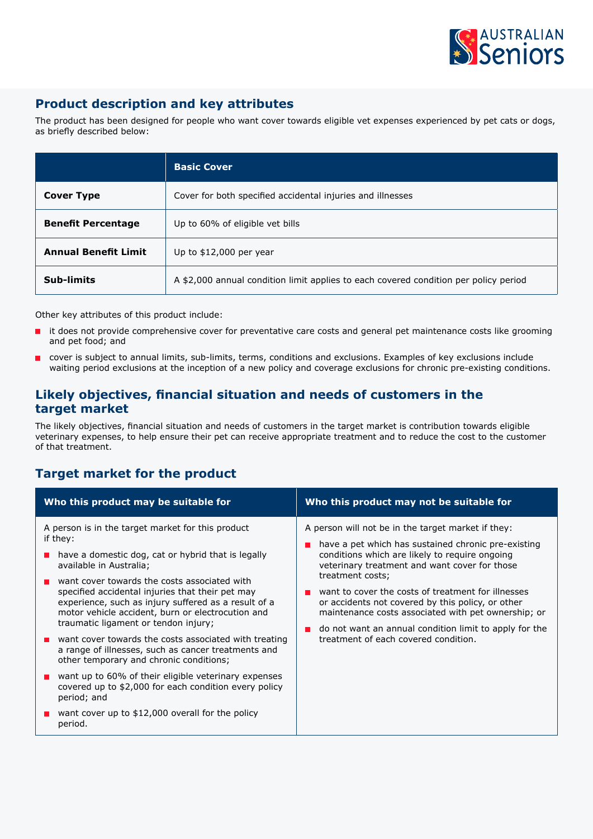

# **Product description and key attributes**

The product has been designed for people who want cover towards eligible vet expenses experienced by pet cats or dogs, as briefly described below:

|                             | <b>Basic Cover</b>                                                                   |  |
|-----------------------------|--------------------------------------------------------------------------------------|--|
| Cover Type                  | Cover for both specified accidental injuries and illnesses                           |  |
| <b>Benefit Percentage</b>   | Up to 60% of eligible vet bills                                                      |  |
| <b>Annual Benefit Limit</b> | Up to $$12,000$ per year                                                             |  |
| Sub-limits                  | A \$2,000 annual condition limit applies to each covered condition per policy period |  |

Other key attributes of this product include:

- it does not provide comprehensive cover for preventative care costs and general pet maintenance costs like grooming and pet food; and
- cover is subject to annual limits, sub-limits, terms, conditions and exclusions. Examples of key exclusions include waiting period exclusions at the inception of a new policy and coverage exclusions for chronic pre-existing conditions.

#### **Likely objectives, financial situation and needs of customers in the target market**

The likely objectives, financial situation and needs of customers in the target market is contribution towards eligible veterinary expenses, to help ensure their pet can receive appropriate treatment and to reduce the cost to the customer of that treatment.

### **Target market for the product**

| Who this product may be suitable for                                                                                                                                                                                                                                                                                                                                                                                                                                                                                                                                                                                                                                                                                                                              | Who this product may not be suitable for                                                                                                                                                                                                                                                                                                                                                                                                                                                             |
|-------------------------------------------------------------------------------------------------------------------------------------------------------------------------------------------------------------------------------------------------------------------------------------------------------------------------------------------------------------------------------------------------------------------------------------------------------------------------------------------------------------------------------------------------------------------------------------------------------------------------------------------------------------------------------------------------------------------------------------------------------------------|------------------------------------------------------------------------------------------------------------------------------------------------------------------------------------------------------------------------------------------------------------------------------------------------------------------------------------------------------------------------------------------------------------------------------------------------------------------------------------------------------|
| A person is in the target market for this product<br>if they:<br>have a domestic dog, cat or hybrid that is legally<br>available in Australia;<br>want cover towards the costs associated with<br>specified accidental injuries that their pet may<br>experience, such as injury suffered as a result of a<br>motor vehicle accident, burn or electrocution and<br>traumatic ligament or tendon injury;<br>want cover towards the costs associated with treating<br>a range of illnesses, such as cancer treatments and<br>other temporary and chronic conditions;<br>want up to 60% of their eligible veterinary expenses<br>covered up to \$2,000 for each condition every policy<br>period; and<br>want cover up to \$12,000 overall for the policy<br>period. | A person will not be in the target market if they:<br>have a pet which has sustained chronic pre-existing<br>conditions which are likely to require ongoing<br>veterinary treatment and want cover for those<br>treatment costs;<br>want to cover the costs of treatment for illnesses<br>or accidents not covered by this policy, or other<br>maintenance costs associated with pet ownership; or<br>do not want an annual condition limit to apply for the<br>treatment of each covered condition. |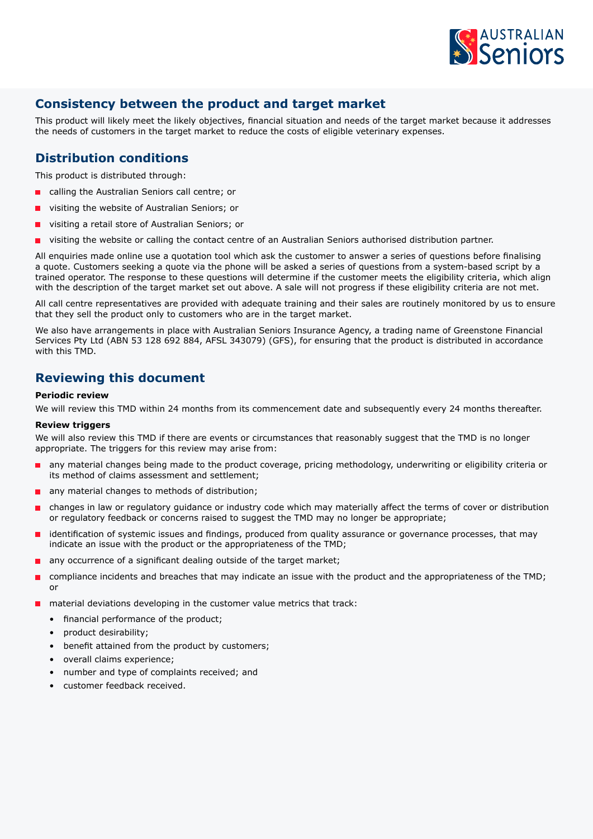

## **Consistency between the product and target market**

This product will likely meet the likely objectives, financial situation and needs of the target market because it addresses the needs of customers in the target market to reduce the costs of eligible veterinary expenses.

#### **Distribution conditions**

This product is distributed through:

- calling the Australian Seniors call centre; or
- visiting the website of Australian Seniors; or
- visiting a retail store of Australian Seniors; or
- visiting the website or calling the contact centre of an Australian Seniors authorised distribution partner.

All enquiries made online use a quotation tool which ask the customer to answer a series of questions before finalising a quote. Customers seeking a quote via the phone will be asked a series of questions from a system-based script by a trained operator. The response to these questions will determine if the customer meets the eligibility criteria, which align with the description of the target market set out above. A sale will not progress if these eligibility criteria are not met.

All call centre representatives are provided with adequate training and their sales are routinely monitored by us to ensure that they sell the product only to customers who are in the target market.

We also have arrangements in place with Australian Seniors Insurance Agency, a trading name of Greenstone Financial Services Pty Ltd (ABN 53 128 692 884, AFSL 343079) (GFS), for ensuring that the product is distributed in accordance with this TMD.

#### **Reviewing this document**

#### **Periodic review**

We will review this TMD within 24 months from its commencement date and subsequently every 24 months thereafter.

#### **Review triggers**

We will also review this TMD if there are events or circumstances that reasonably suggest that the TMD is no longer appropriate. The triggers for this review may arise from:

- any material changes being made to the product coverage, pricing methodology, underwriting or eligibility criteria or its method of claims assessment and settlement;
- any material changes to methods of distribution;
- changes in law or regulatory guidance or industry code which may materially affect the terms of cover or distribution or regulatory feedback or concerns raised to suggest the TMD may no longer be appropriate;
- identification of systemic issues and findings, produced from quality assurance or governance processes, that may indicate an issue with the product or the appropriateness of the TMD;
- any occurrence of a significant dealing outside of the target market;
- compliance incidents and breaches that may indicate an issue with the product and the appropriateness of the TMD; or
- material deviations developing in the customer value metrics that track:
	- financial performance of the product;
	- product desirability;
	- benefit attained from the product by customers;
	- overall claims experience;
	- number and type of complaints received; and
	- customer feedback received.